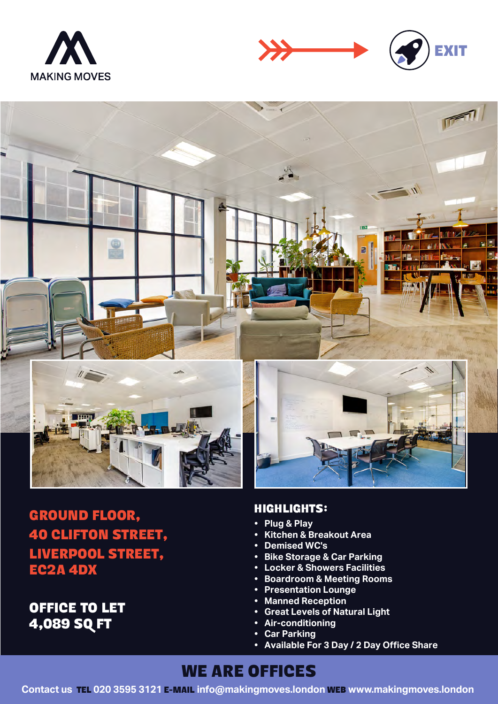





**GROUND FLOOR, 40 CLIFTON STREET, LIVERPOOL STREET, EC2A 4DX**

**OFFICE TO LET 4,089 SQ FT** 

## **HIGHLIGHTS:**

- **• Plug & Play**
- **• Kitchen & Breakout Area**
- **• Demised WC's**
- **• Bike Storage & Car Parking**
- **• Locker & Showers Facilities**
- **• Boardroom & Meeting Rooms**
- **• Presentation Lounge**
- **• Manned Reception**
- **• Great Levels of Natural Light**
- **• Air-conditioning**
- **• Car Parking**
- **• Available For 3 Day / 2 Day Office Share**

# **WE ARE OFFICES**

**Contact us TEL 020 3595 3121 E-MAIL info@makingmoves.london WEB www.makingmoves.london**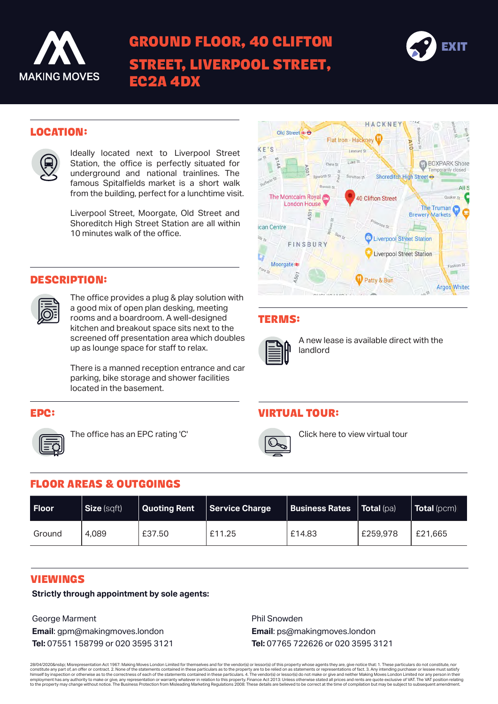

# **GROUND FLOOR, 40 CLIFTON EXIT STREET, LIVERPOOL STREET, EC2A 4DX**



#### **LOCATION:**



Ideally located next to Liverpool Street Station, the office is perfectly situated for underground and national trainlines. The famous Spitalfields market is a short walk from the building, perfect for a lunchtime visit.

Liverpool Street, Moorgate, Old Street and Shoreditch High Street Station are all within 10 minutes walk of the office.

#### **DESCRIPTION:**



The office provides a plug & play solution with a good mix of open plan desking, meeting rooms and a boardroom. A well-designed kitchen and breakout space sits next to the screened off presentation area which doubles up as lounge space for staff to relax.

There is a manned reception entrance and car parking, bike storage and shower facilities located in the basement.

#### **EPC:**



The office has an EPC rating 'C'

### **FLOOR AREAS & OUTGOINGS**

| <b>Floor</b> | Size (sqft) | <b>Quoting Rent</b> | Service Charge | Business Rates | <b>Total</b> (pa) | $\mid$ Total (pcm) $\mid$ |
|--------------|-------------|---------------------|----------------|----------------|-------------------|---------------------------|
| Ground       | 4,089       | £37.50              | £11.25         | £14.83         | £259,978          | £21,665                   |

#### **VIEWINGS**

#### **Strictly through appointment by sole agents:**

George Marment **Email**: gpm@makingmoves.london **Tel:** 07551 158799 or 020 3595 3121 Phil Snowden **Email**: ps@makingmoves.london **Tel:** 07765 722626 or 020 3595 3121

28/04/2020&nsbp; Misrepresentation Act 1967: Making Moves London Limited for themselves and for the vendor(s) or lessor(s) of this property whose agents they are, give notice that: 1. These particulars do not constitute, nor constitute any part of, an ofter or contract. 2. None of the statements contained in these particulars as to the property are to be relied on as statements or representations of fact. 3. Any intending purchaser or lessee m



### **TERMS:**



A new lease is available direct with the landlord

#### **VIRTUAL TOUR:**



[Click here to view virtual tour](https://my.matterport.com/show/?m=FXL5e8Wu2ue)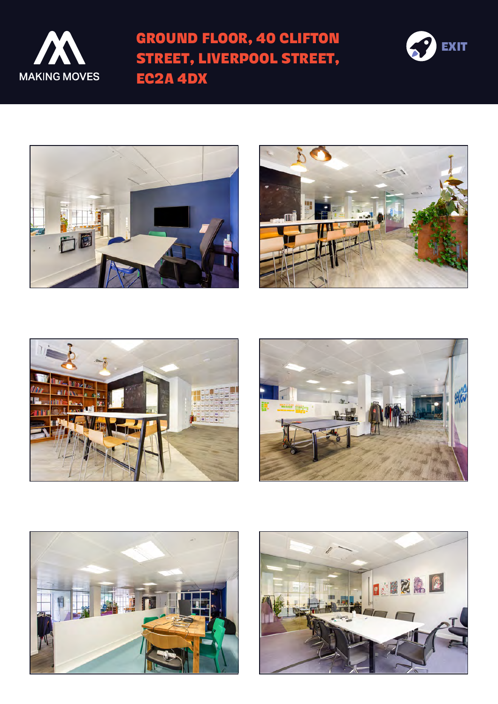

**EXIT GROUND FLOOR, 40 CLIFTON CONSERVANT STREET, LIVERPOOL STREET , EC2A 4DX**













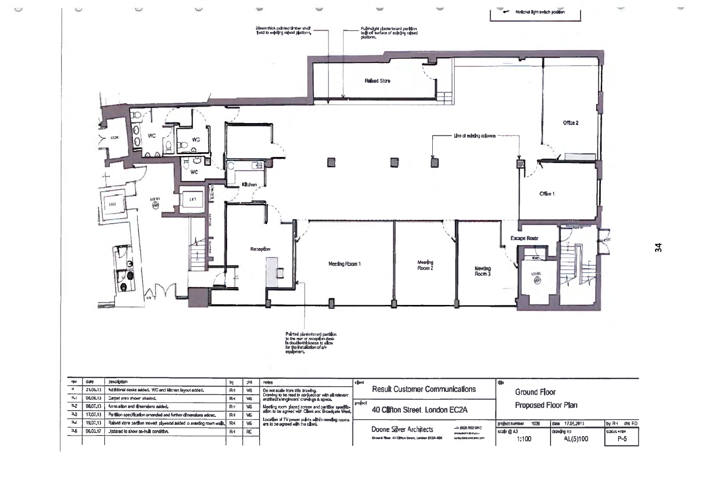